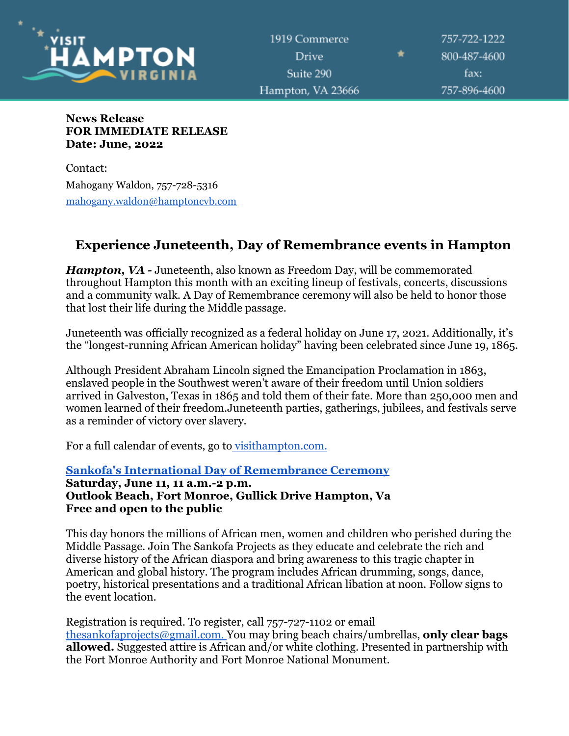

1919 Commerce **Drive** Suite 290 Hampton, VA 23666

757-722-1222 800-487-4600 fax: 757-896-4600

### **News Release FOR IMMEDIATE RELEASE Date: June, 2022**

Contact: Mahogany Waldon, 757-728-5316 [mahogany.waldon@hamptoncvb.com](mailto:mahogany.waldon@hamptoncvb.com)

# **Experience Juneteenth, Day of Remembrance events in Hampton**

*Hampton, VA* - Juneteenth, also known as Freedom Day, will be commemorated throughout Hampton this month with an exciting lineup of festivals, concerts, discussions and a community walk. A Day of Remembrance ceremony will also be held to honor those that lost their life during the Middle passage.

Juneteenth was officially recognized as a federal holiday on June 17, 2021. Additionally, it's the "longest-running African American holiday" having been celebrated since June 19, 1865.

Although President Abraham Lincoln signed the Emancipation Proclamation in 1863, enslaved people in the Southwest weren't aware of their freedom until Union soldiers arrived in Galveston, Texas in 1865 and told them of their fate. More than 250,000 men and women learned of their freedom.Juneteenth parties, gatherings, jubilees, and festivals serve as a reminder of victory over slavery.

For a full calendar of events, go to [visithampton.com.](http://visithampton.com/)

### **[Sankofa's International Day of Remembrance Ceremony](https://fortmonroe.org/event/special-event-sankofas-international-day-of-remembrance-ceremony/) Saturday, June 11, 11 a.m.-2 p.m. Outlook Beach, Fort Monroe, Gullick Drive Hampton, Va Free and open to the public**

This day honors the millions of African men, women and children who perished during the Middle Passage. Join The Sankofa Projects as they educate and celebrate the rich and diverse history of the African diaspora and bring awareness to this tragic chapter in American and global history. The program includes African drumming, songs, dance, poetry, historical presentations and a traditional African libation at noon. Follow signs to the event location.

Registration is required. To register, call 757-727-1102 or email [thesankofaprojects@gmail.com.](mailto:thesankofaprojects@gmail.com) You may bring beach chairs/umbrellas, **only clear bags allowed.** Suggested attire is African and/or white clothing. Presented in partnership with the Fort Monroe Authority and Fort Monroe National Monument.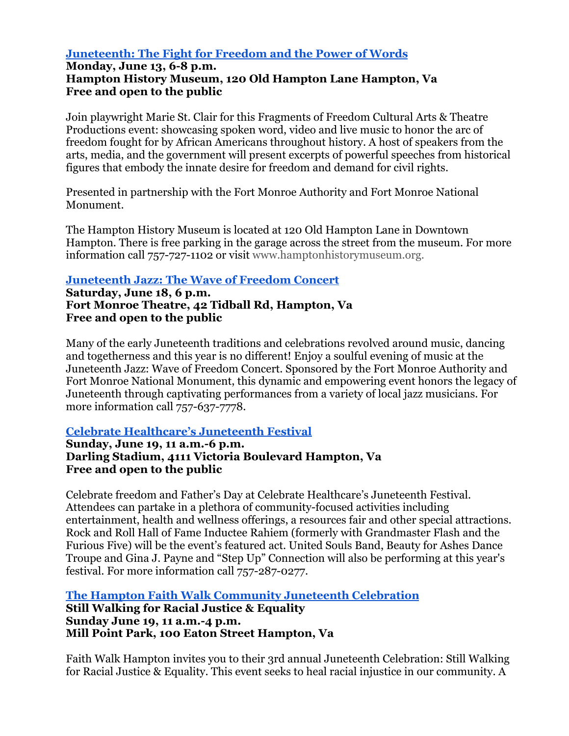## **[Juneteenth: The Fight for Freedom and the Power of Words](https://hampton.gov/Calendar.aspx?EID=43596)**

## **Monday, June 13, 6-8 p.m. Hampton History Museum, 120 Old Hampton Lane Hampton, Va Free and open to the public**

Join playwright Marie St. Clair for this Fragments of Freedom Cultural Arts & Theatre Productions event: showcasing spoken word, video and live music to honor the arc of freedom fought for by African Americans throughout history. A host of speakers from the arts, media, and the government will present excerpts of powerful speeches from historical figures that embody the innate desire for freedom and demand for civil rights.

Presented in partnership with the Fort Monroe Authority and Fort Monroe National Monument.

The Hampton History Museum is located at 120 Old Hampton Lane in Downtown Hampton. There is free parking in the garage across the street from the museum. For more information call 757-727-1102 or visit [www.hamptonhistorymuseum.org.](http://www.hamptonhistorymuseum.org/)

## **[Juneteenth Jazz: The Wave of Freedom Concert](https://fortmonroe.org/happening-now/)**

**Saturday, June 18, 6 p.m. Fort Monroe Theatre, 42 Tidball Rd, Hampton, Va Free and open to the public**

Many of the early Juneteenth traditions and celebrations revolved around music, dancing and togetherness and this year is no different! Enjoy a soulful evening of music at the Juneteenth Jazz: Wave of Freedom Concert. Sponsored by the Fort Monroe Authority and Fort Monroe National Monument, this dynamic and empowering event honors the legacy of Juneteenth through captivating performances from a variety of local jazz musicians. For more information call 757-637-7778.

## **[Celebrate Healthcare's Juneteenth Festival](https://celebratehealthcare.net/)**

**Sunday, June 19, 11 a.m.-6 p.m. Darling Stadium, 4111 Victoria Boulevard Hampton, Va Free and open to the public**

Celebrate freedom and Father's Day at Celebrate Healthcare's Juneteenth Festival. Attendees can partake in a plethora of community-focused activities including entertainment, health and wellness offerings, a resources fair and other special attractions. Rock and Roll Hall of Fame Inductee Rahiem (formerly with Grandmaster Flash and the Furious Five) will be the event's featured act. United Souls Band, Beauty for Ashes Dance Troupe and Gina J. Payne and "Step Up" Connection will also be performing at this year's festival. For more information call 757-287-0277.

**[The Hampton Faith Walk Community Juneteenth Celebration](https://www.facebook.com/Faith-Walk-Hampton-107276994360481/) Still Walking for Racial Justice & Equality Sunday June 19, 11 a.m.-4 p.m. Mill Point Park, 100 Eaton Street Hampton, Va**

Faith Walk Hampton invites you to their 3rd annual Juneteenth Celebration: Still Walking for Racial Justice & Equality. This event seeks to heal racial injustice in our community. A